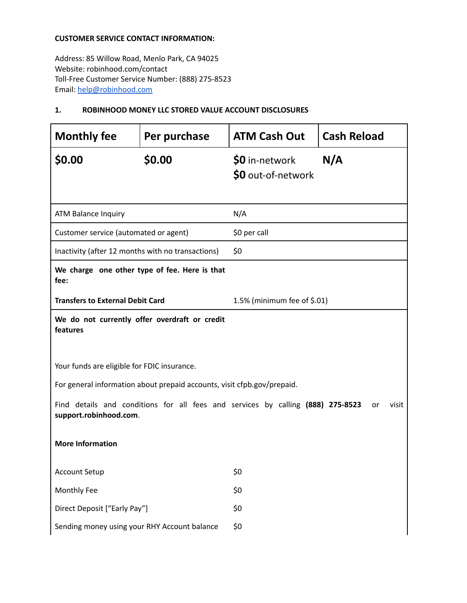#### **CUSTOMER SERVICE CONTACT INFORMATION:**

Address: 85 Willow Road, Menlo Park, CA 94025 Website: robinhood.com/contact Toll-Free Customer Service Number: (888) 275-8523 Email: help@robinhood.com

### **1. ROBINHOOD MONEY LLC STORED VALUE ACCOUNT DISCLOSURES**

| <b>Monthly fee</b>                                                                                                       | Per purchase                                  | <b>ATM Cash Out</b>                  | <b>Cash Reload</b> |
|--------------------------------------------------------------------------------------------------------------------------|-----------------------------------------------|--------------------------------------|--------------------|
| \$0.00                                                                                                                   | \$0.00                                        | \$0 in-network<br>\$0 out-of-network | N/A                |
| ATM Balance Inquiry                                                                                                      |                                               | N/A                                  |                    |
| Customer service (automated or agent)                                                                                    |                                               | \$0 per call                         |                    |
| Inactivity (after 12 months with no transactions)                                                                        |                                               | \$0                                  |                    |
| We charge one other type of fee. Here is that<br>fee:                                                                    |                                               |                                      |                    |
| <b>Transfers to External Debit Card</b>                                                                                  |                                               | 1.5% (minimum fee of \$.01)          |                    |
| features                                                                                                                 | We do not currently offer overdraft or credit |                                      |                    |
| Your funds are eligible for FDIC insurance.                                                                              |                                               |                                      |                    |
| For general information about prepaid accounts, visit cfpb.gov/prepaid.                                                  |                                               |                                      |                    |
| Find details and conditions for all fees and services by calling (888) 275-8523<br>visit<br>or<br>support.robinhood.com. |                                               |                                      |                    |
| <b>More Information</b>                                                                                                  |                                               |                                      |                    |
| <b>Account Setup</b>                                                                                                     |                                               | \$0                                  |                    |
| Monthly Fee                                                                                                              |                                               | \$0                                  |                    |
| Direct Deposit ["Early Pay"]                                                                                             |                                               | \$0                                  |                    |
| Sending money using your RHY Account balance                                                                             |                                               | \$0                                  |                    |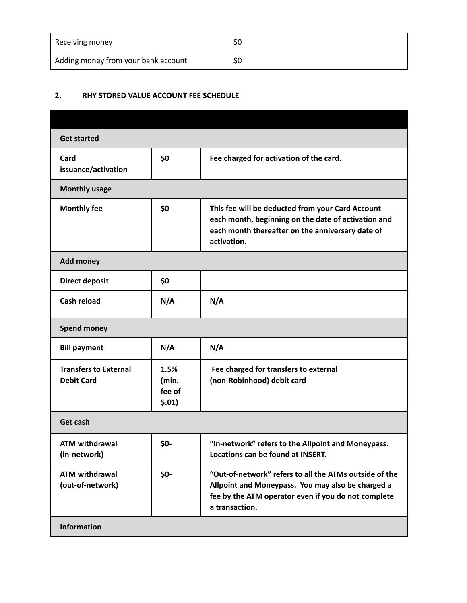| Receiving money                     | S0 |
|-------------------------------------|----|
| Adding money from your bank account | S0 |

# **2. RHY STORED VALUE ACCOUNT FEE SCHEDULE**

| <b>Get started</b>                                |                                   |                                                                                                                                                                                      |
|---------------------------------------------------|-----------------------------------|--------------------------------------------------------------------------------------------------------------------------------------------------------------------------------------|
| Card<br>issuance/activation                       | \$0                               | Fee charged for activation of the card.                                                                                                                                              |
| <b>Monthly usage</b>                              |                                   |                                                                                                                                                                                      |
| <b>Monthly fee</b>                                | \$0                               | This fee will be deducted from your Card Account<br>each month, beginning on the date of activation and<br>each month thereafter on the anniversary date of<br>activation.           |
| <b>Add money</b>                                  |                                   |                                                                                                                                                                                      |
| <b>Direct deposit</b>                             | \$0                               |                                                                                                                                                                                      |
| <b>Cash reload</b>                                | N/A                               | N/A                                                                                                                                                                                  |
| <b>Spend money</b>                                |                                   |                                                                                                                                                                                      |
| <b>Bill payment</b>                               | N/A                               | N/A                                                                                                                                                                                  |
| <b>Transfers to External</b><br><b>Debit Card</b> | 1.5%<br>(min.<br>fee of<br>\$.01) | Fee charged for transfers to external<br>(non-Robinhood) debit card                                                                                                                  |
| Get cash                                          |                                   |                                                                                                                                                                                      |
| <b>ATM withdrawal</b><br>(in-network)             | \$0-                              | "In-network" refers to the Allpoint and Moneypass.<br>Locations can be found at INSERT.                                                                                              |
| <b>ATM withdrawal</b><br>(out-of-network)         | \$0-                              | "Out-of-network" refers to all the ATMs outside of the<br>Allpoint and Moneypass. You may also be charged a<br>fee by the ATM operator even if you do not complete<br>a transaction. |
| <b>Information</b>                                |                                   |                                                                                                                                                                                      |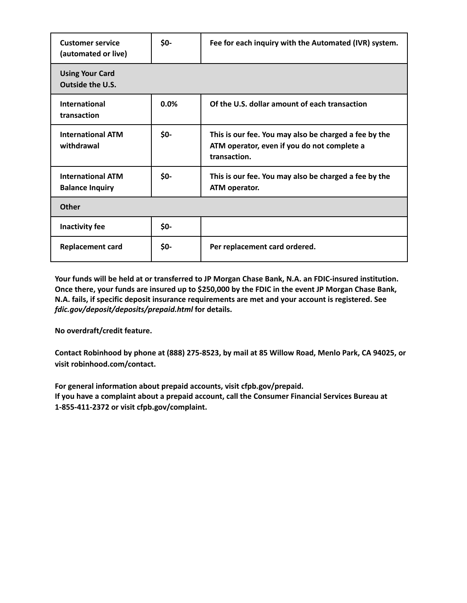| <b>Customer service</b><br>(automated or live)     | \$0- | Fee for each inquiry with the Automated (IVR) system.                                                                |
|----------------------------------------------------|------|----------------------------------------------------------------------------------------------------------------------|
| <b>Using Your Card</b><br><b>Outside the U.S.</b>  |      |                                                                                                                      |
| <b>International</b><br>transaction                | 0.0% | Of the U.S. dollar amount of each transaction                                                                        |
| <b>International ATM</b><br>withdrawal             | \$0- | This is our fee. You may also be charged a fee by the<br>ATM operator, even if you do not complete a<br>transaction. |
| <b>International ATM</b><br><b>Balance Inquiry</b> | \$0- | This is our fee. You may also be charged a fee by the<br>ATM operator.                                               |
| <b>Other</b>                                       |      |                                                                                                                      |
| Inactivity fee                                     | \$0- |                                                                                                                      |
| <b>Replacement card</b>                            | \$0- | Per replacement card ordered.                                                                                        |

**Your funds will be held at or transferred to JP Morgan Chase Bank, N.A. an FDIC-insured institution.** Once there, your funds are insured up to \$250,000 by the FDIC in the event JP Morgan Chase Bank, **N.A. fails, if specific deposit insurance requirements are met and your account is registered. See** *fdic.gov/deposit/deposits/prepaid.html* **for details.**

**No overdraft/credit feature.**

**Contact Robinhood by phone at (888) 275-8523, by mail at 85 Willow Road, Menlo Park, CA 94025, or visit robinhood.com/contact.**

**For general information about prepaid accounts, visit cfpb.gov/prepaid. If you have a complaint about a prepaid account, call the Consumer Financial Services Bureau at 1-855-411-2372 or visit cfpb.gov/complaint.**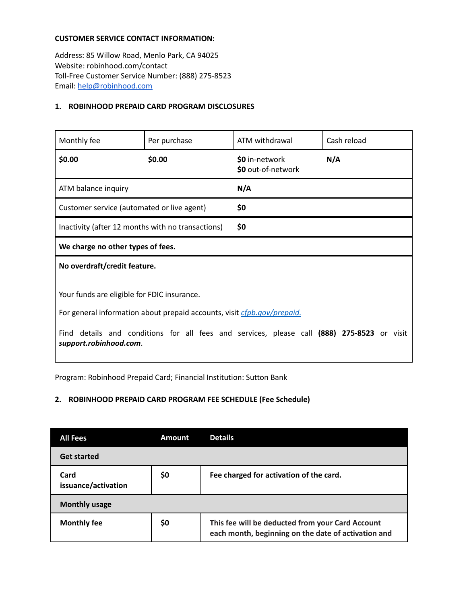#### **CUSTOMER SERVICE CONTACT INFORMATION:**

Address: 85 Willow Road, Menlo Park, CA 94025 Website: robinhood.com/contact Toll-Free Customer Service Number: (888) 275-8523 Email: help@robinhood.com

#### **1. ROBINHOOD PREPAID CARD PROGRAM DISCLOSURES**

| Monthly fee                                                                                                                                                                                                                                       | Per purchase | ATM withdrawal                       | Cash reload |
|---------------------------------------------------------------------------------------------------------------------------------------------------------------------------------------------------------------------------------------------------|--------------|--------------------------------------|-------------|
| \$0.00                                                                                                                                                                                                                                            | \$0.00       | \$0 in-network<br>\$0 out-of-network | N/A         |
| ATM balance inquiry                                                                                                                                                                                                                               |              | N/A                                  |             |
| Customer service (automated or live agent)                                                                                                                                                                                                        |              | \$0                                  |             |
| Inactivity (after 12 months with no transactions)                                                                                                                                                                                                 |              | \$0                                  |             |
| We charge no other types of fees.                                                                                                                                                                                                                 |              |                                      |             |
| No overdraft/credit feature.                                                                                                                                                                                                                      |              |                                      |             |
| Your funds are eligible for FDIC insurance.<br>For general information about prepaid accounts, visit cfpb.gov/prepaid.<br>details and conditions for all fees and services, please call (888) 275-8523 or visit<br>Find<br>support.robinhood.com. |              |                                      |             |

Program: Robinhood Prepaid Card; Financial Institution: Sutton Bank

## **2. ROBINHOOD PREPAID CARD PROGRAM FEE SCHEDULE (Fee Schedule)**

| <b>All Fees</b>             | <b>Amount</b> | <b>Details</b>                                                                                          |
|-----------------------------|---------------|---------------------------------------------------------------------------------------------------------|
| <b>Get started</b>          |               |                                                                                                         |
| Card<br>issuance/activation | \$0           | Fee charged for activation of the card.                                                                 |
| <b>Monthly usage</b>        |               |                                                                                                         |
| <b>Monthly fee</b>          | \$0           | This fee will be deducted from your Card Account<br>each month, beginning on the date of activation and |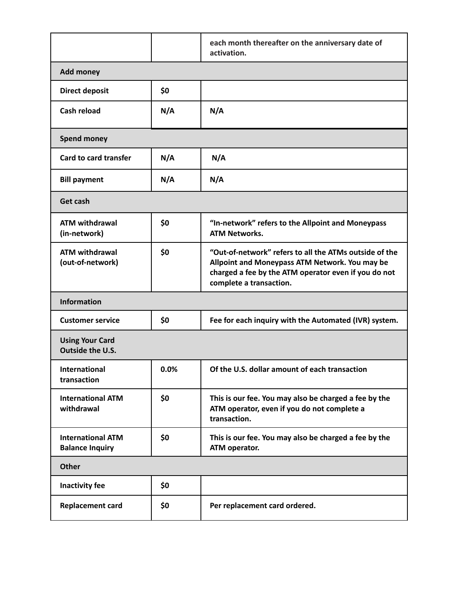|                                                    |      | each month thereafter on the anniversary date of<br>activation.                                                                                                                             |
|----------------------------------------------------|------|---------------------------------------------------------------------------------------------------------------------------------------------------------------------------------------------|
| <b>Add money</b>                                   |      |                                                                                                                                                                                             |
| <b>Direct deposit</b>                              | \$0  |                                                                                                                                                                                             |
| Cash reload                                        | N/A  | N/A                                                                                                                                                                                         |
| <b>Spend money</b>                                 |      |                                                                                                                                                                                             |
| <b>Card to card transfer</b>                       | N/A  | N/A                                                                                                                                                                                         |
| <b>Bill payment</b>                                | N/A  | N/A                                                                                                                                                                                         |
| Get cash                                           |      |                                                                                                                                                                                             |
| <b>ATM withdrawal</b><br>(in-network)              | \$0  | "In-network" refers to the Allpoint and Moneypass<br><b>ATM Networks.</b>                                                                                                                   |
| <b>ATM withdrawal</b><br>(out-of-network)          | \$0  | "Out-of-network" refers to all the ATMs outside of the<br>Allpoint and Moneypass ATM Network. You may be<br>charged a fee by the ATM operator even if you do not<br>complete a transaction. |
| <b>Information</b>                                 |      |                                                                                                                                                                                             |
| <b>Customer service</b>                            | \$0  | Fee for each inquiry with the Automated (IVR) system.                                                                                                                                       |
| <b>Using Your Card</b><br>Outside the U.S.         |      |                                                                                                                                                                                             |
| International<br>transaction                       | 0.0% | Of the U.S. dollar amount of each transaction                                                                                                                                               |
| <b>International ATM</b><br>withdrawal             | \$0  | This is our fee. You may also be charged a fee by the<br>ATM operator, even if you do not complete a<br>transaction.                                                                        |
| <b>International ATM</b><br><b>Balance Inquiry</b> | \$0  | This is our fee. You may also be charged a fee by the<br>ATM operator.                                                                                                                      |
| <b>Other</b>                                       |      |                                                                                                                                                                                             |
| Inactivity fee                                     | \$0  |                                                                                                                                                                                             |
| <b>Replacement card</b>                            | \$0  | Per replacement card ordered.                                                                                                                                                               |